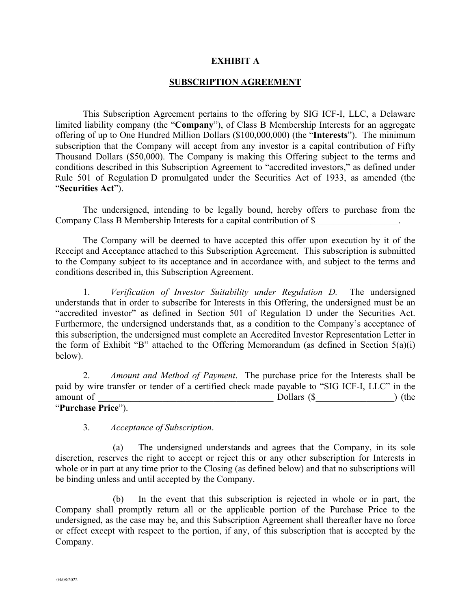#### **EXHIBIT A**

#### **SUBSCRIPTION AGREEMENT**

This Subscription Agreement pertains to the offering by SIG ICF-I, LLC, a Delaware limited liability company (the "**Company**"), of Class B Membership Interests for an aggregate offering of up to One Hundred Million Dollars (\$100,000,000) (the "**Interests**"). The minimum subscription that the Company will accept from any investor is a capital contribution of Fifty Thousand Dollars (\$50,000). The Company is making this Offering subject to the terms and conditions described in this Subscription Agreement to "accredited investors," as defined under Rule 501 of Regulation D promulgated under the Securities Act of 1933, as amended (the "**Securities Act**").

The undersigned, intending to be legally bound, hereby offers to purchase from the Company Class B Membership Interests for a capital contribution of \$

The Company will be deemed to have accepted this offer upon execution by it of the Receipt and Acceptance attached to this Subscription Agreement. This subscription is submitted to the Company subject to its acceptance and in accordance with, and subject to the terms and conditions described in, this Subscription Agreement.

1. *Verification of Investor Suitability under Regulation D.* The undersigned understands that in order to subscribe for Interests in this Offering, the undersigned must be an "accredited investor" as defined in Section 501 of Regulation D under the Securities Act. Furthermore, the undersigned understands that, as a condition to the Company's acceptance of this subscription, the undersigned must complete an Accredited Investor Representation Letter in the form of Exhibit "B" attached to the Offering Memorandum (as defined in Section  $5(a)(i)$ ) below).

2. *Amount and Method of Payment*. The purchase price for the Interests shall be paid by wire transfer or tender of a certified check made payable to "SIG ICF-I, LLC" in the amount of  $\qquad \qquad$  Dollars (\$  $\qquad \qquad$  ) (the "**Purchase Price**").

3. *Acceptance of Subscription*.

(a) The undersigned understands and agrees that the Company, in its sole discretion, reserves the right to accept or reject this or any other subscription for Interests in whole or in part at any time prior to the Closing (as defined below) and that no subscriptions will be binding unless and until accepted by the Company.

(b) In the event that this subscription is rejected in whole or in part, the Company shall promptly return all or the applicable portion of the Purchase Price to the undersigned, as the case may be, and this Subscription Agreement shall thereafter have no force or effect except with respect to the portion, if any, of this subscription that is accepted by the Company.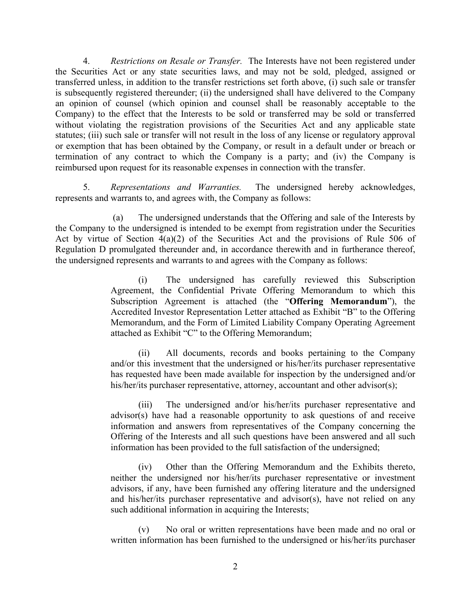4. *Restrictions on Resale or Transfer.* The Interests have not been registered under the Securities Act or any state securities laws, and may not be sold, pledged, assigned or transferred unless, in addition to the transfer restrictions set forth above, (i) such sale or transfer is subsequently registered thereunder; (ii) the undersigned shall have delivered to the Company an opinion of counsel (which opinion and counsel shall be reasonably acceptable to the Company) to the effect that the Interests to be sold or transferred may be sold or transferred without violating the registration provisions of the Securities Act and any applicable state statutes; (iii) such sale or transfer will not result in the loss of any license or regulatory approval or exemption that has been obtained by the Company, or result in a default under or breach or termination of any contract to which the Company is a party; and (iv) the Company is reimbursed upon request for its reasonable expenses in connection with the transfer.

5. *Representations and Warranties.* The undersigned hereby acknowledges, represents and warrants to, and agrees with, the Company as follows:

(a) The undersigned understands that the Offering and sale of the Interests by the Company to the undersigned is intended to be exempt from registration under the Securities Act by virtue of Section 4(a)(2) of the Securities Act and the provisions of Rule 506 of Regulation D promulgated thereunder and, in accordance therewith and in furtherance thereof, the undersigned represents and warrants to and agrees with the Company as follows:

> (i) The undersigned has carefully reviewed this Subscription Agreement, the Confidential Private Offering Memorandum to which this Subscription Agreement is attached (the "**Offering Memorandum**"), the Accredited Investor Representation Letter attached as Exhibit "B" to the Offering Memorandum, and the Form of Limited Liability Company Operating Agreement attached as Exhibit "C" to the Offering Memorandum;

> (ii) All documents, records and books pertaining to the Company and/or this investment that the undersigned or his/her/its purchaser representative has requested have been made available for inspection by the undersigned and/or his/her/its purchaser representative, attorney, accountant and other advisor(s);

> (iii) The undersigned and/or his/her/its purchaser representative and advisor(s) have had a reasonable opportunity to ask questions of and receive information and answers from representatives of the Company concerning the Offering of the Interests and all such questions have been answered and all such information has been provided to the full satisfaction of the undersigned;

> (iv) Other than the Offering Memorandum and the Exhibits thereto, neither the undersigned nor his/her/its purchaser representative or investment advisors, if any, have been furnished any offering literature and the undersigned and his/her/its purchaser representative and advisor(s), have not relied on any such additional information in acquiring the Interests;

> (v) No oral or written representations have been made and no oral or written information has been furnished to the undersigned or his/her/its purchaser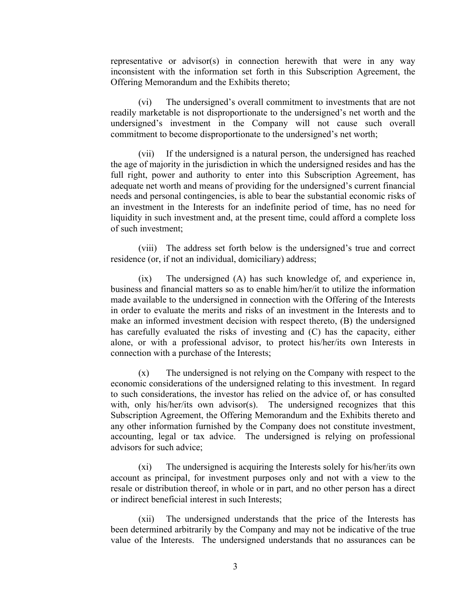representative or advisor(s) in connection herewith that were in any way inconsistent with the information set forth in this Subscription Agreement, the Offering Memorandum and the Exhibits thereto;

(vi) The undersigned's overall commitment to investments that are not readily marketable is not disproportionate to the undersigned's net worth and the undersigned's investment in the Company will not cause such overall commitment to become disproportionate to the undersigned's net worth;

(vii) If the undersigned is a natural person, the undersigned has reached the age of majority in the jurisdiction in which the undersigned resides and has the full right, power and authority to enter into this Subscription Agreement, has adequate net worth and means of providing for the undersigned's current financial needs and personal contingencies, is able to bear the substantial economic risks of an investment in the Interests for an indefinite period of time, has no need for liquidity in such investment and, at the present time, could afford a complete loss of such investment;

(viii) The address set forth below is the undersigned's true and correct residence (or, if not an individual, domiciliary) address;

(ix) The undersigned (A) has such knowledge of, and experience in, business and financial matters so as to enable him/her/it to utilize the information made available to the undersigned in connection with the Offering of the Interests in order to evaluate the merits and risks of an investment in the Interests and to make an informed investment decision with respect thereto, (B) the undersigned has carefully evaluated the risks of investing and (C) has the capacity, either alone, or with a professional advisor, to protect his/her/its own Interests in connection with a purchase of the Interests;

(x) The undersigned is not relying on the Company with respect to the economic considerations of the undersigned relating to this investment. In regard to such considerations, the investor has relied on the advice of, or has consulted with, only his/her/its own advisor(s). The undersigned recognizes that this Subscription Agreement, the Offering Memorandum and the Exhibits thereto and any other information furnished by the Company does not constitute investment, accounting, legal or tax advice. The undersigned is relying on professional advisors for such advice;

(xi) The undersigned is acquiring the Interests solely for his/her/its own account as principal, for investment purposes only and not with a view to the resale or distribution thereof, in whole or in part, and no other person has a direct or indirect beneficial interest in such Interests;

(xii) The undersigned understands that the price of the Interests has been determined arbitrarily by the Company and may not be indicative of the true value of the Interests. The undersigned understands that no assurances can be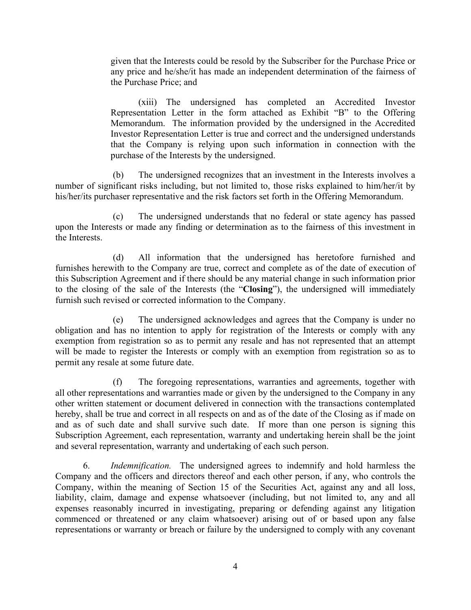given that the Interests could be resold by the Subscriber for the Purchase Price or any price and he/she/it has made an independent determination of the fairness of the Purchase Price; and

(xiii) The undersigned has completed an Accredited Investor Representation Letter in the form attached as Exhibit "B" to the Offering Memorandum. The information provided by the undersigned in the Accredited Investor Representation Letter is true and correct and the undersigned understands that the Company is relying upon such information in connection with the purchase of the Interests by the undersigned.

(b) The undersigned recognizes that an investment in the Interests involves a number of significant risks including, but not limited to, those risks explained to him/her/it by his/her/its purchaser representative and the risk factors set forth in the Offering Memorandum.

(c) The undersigned understands that no federal or state agency has passed upon the Interests or made any finding or determination as to the fairness of this investment in the Interests.

(d) All information that the undersigned has heretofore furnished and furnishes herewith to the Company are true, correct and complete as of the date of execution of this Subscription Agreement and if there should be any material change in such information prior to the closing of the sale of the Interests (the "**Closing**"), the undersigned will immediately furnish such revised or corrected information to the Company.

(e) The undersigned acknowledges and agrees that the Company is under no obligation and has no intention to apply for registration of the Interests or comply with any exemption from registration so as to permit any resale and has not represented that an attempt will be made to register the Interests or comply with an exemption from registration so as to permit any resale at some future date.

(f) The foregoing representations, warranties and agreements, together with all other representations and warranties made or given by the undersigned to the Company in any other written statement or document delivered in connection with the transactions contemplated hereby, shall be true and correct in all respects on and as of the date of the Closing as if made on and as of such date and shall survive such date. If more than one person is signing this Subscription Agreement, each representation, warranty and undertaking herein shall be the joint and several representation, warranty and undertaking of each such person.

6. *Indemnification.* The undersigned agrees to indemnify and hold harmless the Company and the officers and directors thereof and each other person, if any, who controls the Company, within the meaning of Section 15 of the Securities Act, against any and all loss, liability, claim, damage and expense whatsoever (including, but not limited to, any and all expenses reasonably incurred in investigating, preparing or defending against any litigation commenced or threatened or any claim whatsoever) arising out of or based upon any false representations or warranty or breach or failure by the undersigned to comply with any covenant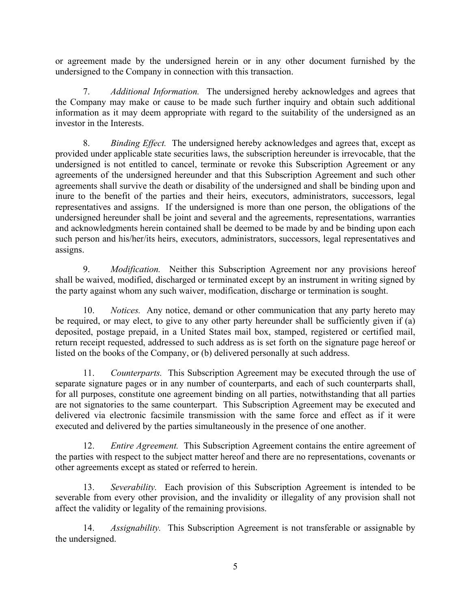or agreement made by the undersigned herein or in any other document furnished by the undersigned to the Company in connection with this transaction.

7. *Additional Information.* The undersigned hereby acknowledges and agrees that the Company may make or cause to be made such further inquiry and obtain such additional information as it may deem appropriate with regard to the suitability of the undersigned as an investor in the Interests.

8. *Binding Effect.* The undersigned hereby acknowledges and agrees that, except as provided under applicable state securities laws, the subscription hereunder is irrevocable, that the undersigned is not entitled to cancel, terminate or revoke this Subscription Agreement or any agreements of the undersigned hereunder and that this Subscription Agreement and such other agreements shall survive the death or disability of the undersigned and shall be binding upon and inure to the benefit of the parties and their heirs, executors, administrators, successors, legal representatives and assigns. If the undersigned is more than one person, the obligations of the undersigned hereunder shall be joint and several and the agreements, representations, warranties and acknowledgments herein contained shall be deemed to be made by and be binding upon each such person and his/her/its heirs, executors, administrators, successors, legal representatives and assigns.

9. *Modification.* Neither this Subscription Agreement nor any provisions hereof shall be waived, modified, discharged or terminated except by an instrument in writing signed by the party against whom any such waiver, modification, discharge or termination is sought.

10. *Notices.* Any notice, demand or other communication that any party hereto may be required, or may elect, to give to any other party hereunder shall be sufficiently given if (a) deposited, postage prepaid, in a United States mail box, stamped, registered or certified mail, return receipt requested, addressed to such address as is set forth on the signature page hereof or listed on the books of the Company, or (b) delivered personally at such address.

11. *Counterparts.* This Subscription Agreement may be executed through the use of separate signature pages or in any number of counterparts, and each of such counterparts shall, for all purposes, constitute one agreement binding on all parties, notwithstanding that all parties are not signatories to the same counterpart. This Subscription Agreement may be executed and delivered via electronic facsimile transmission with the same force and effect as if it were executed and delivered by the parties simultaneously in the presence of one another.

12. *Entire Agreement.* This Subscription Agreement contains the entire agreement of the parties with respect to the subject matter hereof and there are no representations, covenants or other agreements except as stated or referred to herein.

13. *Severability.* Each provision of this Subscription Agreement is intended to be severable from every other provision, and the invalidity or illegality of any provision shall not affect the validity or legality of the remaining provisions.

14. *Assignability.* This Subscription Agreement is not transferable or assignable by the undersigned.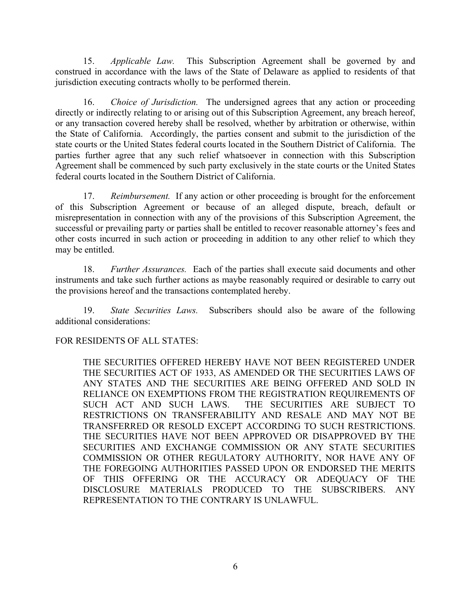15. *Applicable Law.* This Subscription Agreement shall be governed by and construed in accordance with the laws of the State of Delaware as applied to residents of that jurisdiction executing contracts wholly to be performed therein.

16. *Choice of Jurisdiction.* The undersigned agrees that any action or proceeding directly or indirectly relating to or arising out of this Subscription Agreement, any breach hereof, or any transaction covered hereby shall be resolved, whether by arbitration or otherwise, within the State of California. Accordingly, the parties consent and submit to the jurisdiction of the state courts or the United States federal courts located in the Southern District of California. The parties further agree that any such relief whatsoever in connection with this Subscription Agreement shall be commenced by such party exclusively in the state courts or the United States federal courts located in the Southern District of California.

17. *Reimbursement.* If any action or other proceeding is brought for the enforcement of this Subscription Agreement or because of an alleged dispute, breach, default or misrepresentation in connection with any of the provisions of this Subscription Agreement, the successful or prevailing party or parties shall be entitled to recover reasonable attorney's fees and other costs incurred in such action or proceeding in addition to any other relief to which they may be entitled.

18. *Further Assurances.* Each of the parties shall execute said documents and other instruments and take such further actions as maybe reasonably required or desirable to carry out the provisions hereof and the transactions contemplated hereby.

19. *State Securities Laws.* Subscribers should also be aware of the following additional considerations:

## FOR RESIDENTS OF ALL STATES:

THE SECURITIES OFFERED HEREBY HAVE NOT BEEN REGISTERED UNDER THE SECURITIES ACT OF 1933, AS AMENDED OR THE SECURITIES LAWS OF ANY STATES AND THE SECURITIES ARE BEING OFFERED AND SOLD IN RELIANCE ON EXEMPTIONS FROM THE REGISTRATION REQUIREMENTS OF SUCH ACT AND SUCH LAWS. THE SECURITIES ARE SUBJECT TO RESTRICTIONS ON TRANSFERABILITY AND RESALE AND MAY NOT BE TRANSFERRED OR RESOLD EXCEPT ACCORDING TO SUCH RESTRICTIONS. THE SECURITIES HAVE NOT BEEN APPROVED OR DISAPPROVED BY THE SECURITIES AND EXCHANGE COMMISSION OR ANY STATE SECURITIES COMMISSION OR OTHER REGULATORY AUTHORITY, NOR HAVE ANY OF THE FOREGOING AUTHORITIES PASSED UPON OR ENDORSED THE MERITS OF THIS OFFERING OR THE ACCURACY OR ADEQUACY OF THE DISCLOSURE MATERIALS PRODUCED TO THE SUBSCRIBERS. ANY REPRESENTATION TO THE CONTRARY IS UNLAWFUL.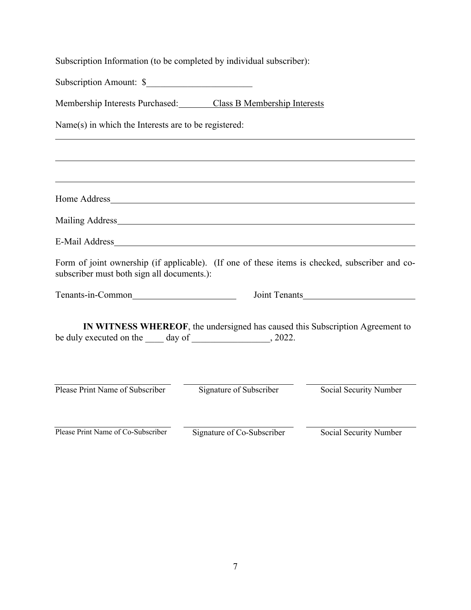Subscription Information (to be completed by individual subscriber):

Subscription Amount: \$

Membership Interests Purchased: Class B Membership Interests

Name(s) in which the Interests are to be registered:

Home Address

Mailing Address

E-Mail Address

Form of joint ownership (if applicable). (If one of these items is checked, subscriber and cosubscriber must both sign all documents.):

Tenants-in-Common Joint Tenants

**IN WITNESS WHEREOF**, the undersigned has caused this Subscription Agreement to be duly executed on the day of \_\_\_\_\_\_\_\_\_\_\_\_\_\_, 2022.

Please Print Name of Subscriber Signature of Subscriber Social Security Number

Please Print Name of Co-Subscriber Signature of Co-Subscriber Social Security Number